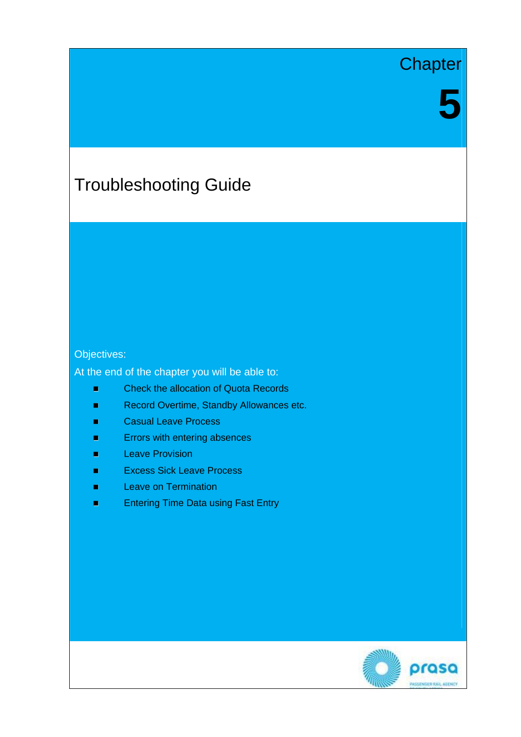# **Chapter**

# Troubleshooting Guide

#### Objectives:

At the end of the chapter you will be able to:

- Check the allocation of Quota Records
- Record Overtime, Standby Allowances etc.
- **E** Casual Leave Process
- **E**rrors with entering absences
- **Leave Provision**
- **Excess Sick Leave Process**
- **Leave on Termination**
- **Entering Time Data using Fast Entry**

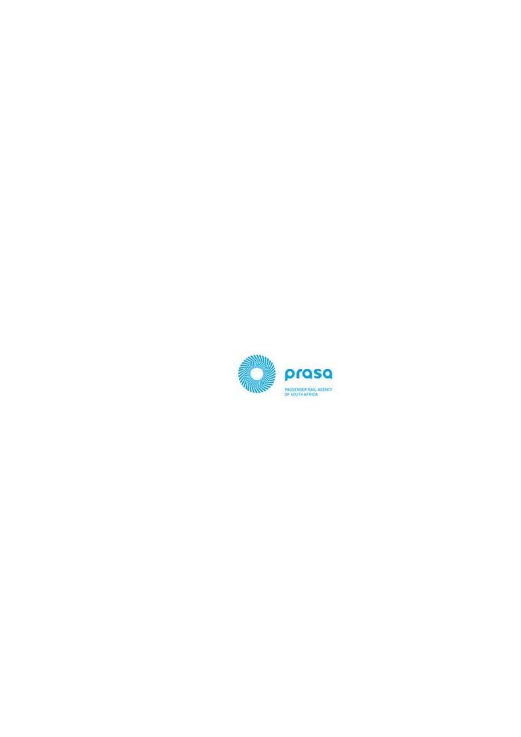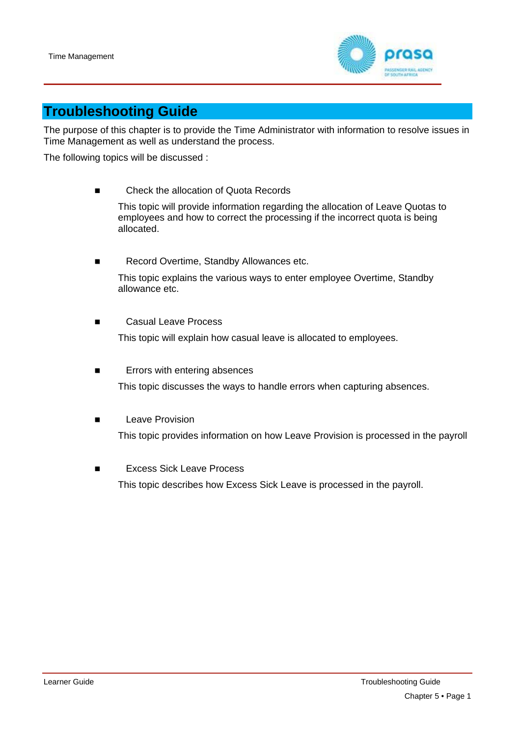

## **Troubleshooting Guide**

The purpose of this chapter is to provide the Time Administrator with information to resolve issues in Time Management as well as understand the process.

The following topics will be discussed :

Check the allocation of Quota Records

This topic will provide information regarding the allocation of Leave Quotas to employees and how to correct the processing if the incorrect quota is being allocated.

- Record Overtime, Standby Allowances etc. This topic explains the various ways to enter employee Overtime, Standby allowance etc.
- Casual Leave Process This topic will explain how casual leave is allocated to employees.
- **Errors with entering absences** This topic discusses the ways to handle errors when capturing absences.
- Leave Provision This topic provides information on how Leave Provision is processed in the payroll
- Excess Sick Leave Process

This topic describes how Excess Sick Leave is processed in the payroll.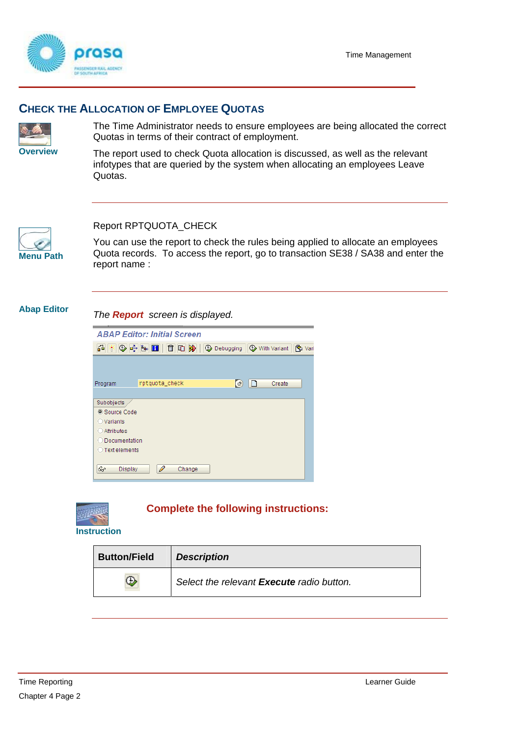

#### **CHECK THE ALLOCATION OF EMPLOYEE QUOTAS**



The Time Administrator needs to ensure employees are being allocated the correct Quotas in terms of their contract of employment.

**Overview** The report used to check Quota allocation is discussed, as well as the relevant infotypes that are queried by the system when allocating an employees Leave Quotas.



#### Report RPTQUOTA\_CHECK

You can use the report to check the rules being applied to allocate an employees Quota records. To access the report, go to transaction SE38 / SA38 and enter the report name :

**Abap Editor** *The Report screen is displayed.* 

|                     | <b>ABAP Editor: Initial Screen</b> |     |   |        |                       |
|---------------------|------------------------------------|-----|---|--------|-----------------------|
|                     |                                    |     |   |        | <sup>12</sup> ch Vari |
|                     |                                    |     |   |        |                       |
|                     |                                    |     |   |        |                       |
| Program             | rptquota_check                     | 【日】 | ⊡ | Create |                       |
|                     |                                    |     |   |        |                       |
| Subobjects          |                                    |     |   |        |                       |
| Source Code         |                                    |     |   |        |                       |
| ◯ Variants          |                                    |     |   |        |                       |
| Attributes<br>$($ ) |                                    |     |   |        |                       |
| O Documentation     |                                    |     |   |        |                       |
| ◯ Text elements     |                                    |     |   |        |                       |
|                     |                                    |     |   |        |                       |
| &r<br>Display       | ₽<br>Change                        |     |   |        |                       |



#### **Complete the following instructions:**

**Instruction** 

| <b>Button/Field</b> | <b>Description</b>                        |
|---------------------|-------------------------------------------|
| ⊕                   | Select the relevant Execute radio button. |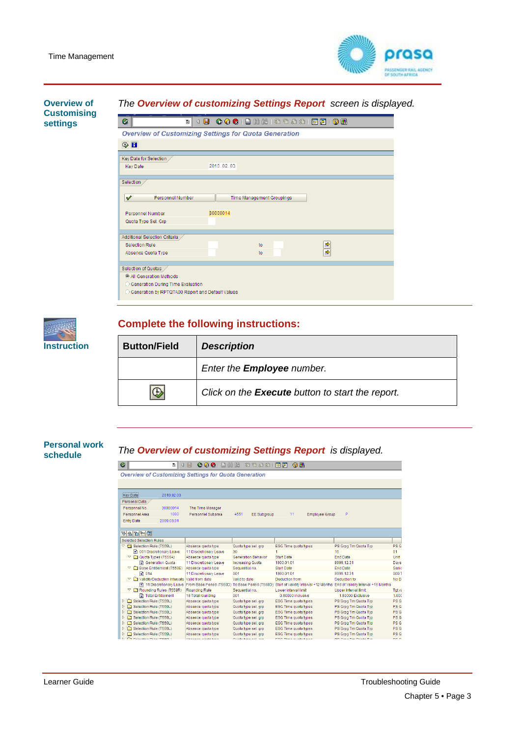

| Overview of                           | The Overview of customizing Settings Report screen is displayed.      |  |  |  |  |  |  |
|---------------------------------------|-----------------------------------------------------------------------|--|--|--|--|--|--|
| <b>Customising</b><br><b>settings</b> | Ø<br>ū                                                                |  |  |  |  |  |  |
|                                       | <b>Overview of Customizing Settings for Quota Generation</b>          |  |  |  |  |  |  |
|                                       | $\oplus$ H                                                            |  |  |  |  |  |  |
|                                       | Key Date for Selection                                                |  |  |  |  |  |  |
|                                       | 2010.02.03<br><b>Key Date</b>                                         |  |  |  |  |  |  |
|                                       | Selection                                                             |  |  |  |  |  |  |
|                                       | $\mathscr{I}$<br>Personnel Number<br><b>Time Management Groupings</b> |  |  |  |  |  |  |
|                                       | 30000014<br>Personnel Number                                          |  |  |  |  |  |  |
|                                       | Quota Type Sel. Grp                                                   |  |  |  |  |  |  |
|                                       | Additional Selection Criteria                                         |  |  |  |  |  |  |
|                                       | ⇨<br>Selection Rule<br>to                                             |  |  |  |  |  |  |
|                                       | $\Rightarrow$<br>Absence Quota Type<br>to                             |  |  |  |  |  |  |
|                                       | Selection of Quotas                                                   |  |  |  |  |  |  |
|                                       | C All Generation Methods                                              |  |  |  |  |  |  |
|                                       | ○ Generation During Time Evaluation                                   |  |  |  |  |  |  |
|                                       | ○ Generation by RPTQTA00 Report and Default Values                    |  |  |  |  |  |  |

#### **Complete the following instructions:**



# **Personal work** *The Overview of customizing Settings Report is displayed.* **schedule**

| Ø                        | Ð                                                   | <b>COC</b> IB HH 18 18 18 18 1<br>4 H                                  |                     |                            | ※ 2 1 2 5                                                                 |                      |                 |
|--------------------------|-----------------------------------------------------|------------------------------------------------------------------------|---------------------|----------------------------|---------------------------------------------------------------------------|----------------------|-----------------|
|                          |                                                     | <b>Overview of Customizing Settings for Quota Generation</b>           |                     |                            |                                                                           |                      |                 |
|                          |                                                     |                                                                        |                     |                            |                                                                           |                      |                 |
| Key Date:                | 2010.02.03                                          |                                                                        |                     |                            |                                                                           |                      |                 |
|                          |                                                     |                                                                        |                     |                            |                                                                           |                      |                 |
| Personal Data            |                                                     |                                                                        |                     |                            |                                                                           |                      |                 |
| Personnel No.            | 30000014                                            | The Time Manager                                                       |                     |                            |                                                                           |                      |                 |
| Personnel Area           | 1000                                                | Personnel Subarea                                                      | 4551                | <b>EE Subgroup</b>         | 11<br><b>Employee Group</b>                                               | P                    |                 |
| <b>Entry Date</b>        | 2009 03:01                                          |                                                                        |                     |                            |                                                                           |                      |                 |
|                          |                                                     |                                                                        |                     |                            |                                                                           |                      |                 |
| <b>82253</b>             |                                                     |                                                                        |                     |                            |                                                                           |                      |                 |
| Selected Selection Rules |                                                     |                                                                        |                     |                            |                                                                           |                      |                 |
|                          | Selection Rule (T559L)                              | Absence quota type                                                     | Quota type sel, grp |                            | ESG Time quota types                                                      | PS Grpg Tm Quota Typ | PS G            |
|                          | <b>El 001 Discretionary Leave</b>                   | 11 Discretionary Leave                                                 | 30                  |                            | 1                                                                         | 16                   | 01              |
|                          | $\heartsuit$ $\Box$ Quota Types (T556A)             | Absence quota type                                                     |                     | <b>Generation Behavior</b> | <b>Start Date</b>                                                         | <b>End Date</b>      | Unit            |
|                          | <b>El</b> Generation Quota                          | 11 Discretionary Leave                                                 | Increasing Quota    |                            | 1900.01.01                                                                | 9999.12.31           | Days            |
|                          | Base Entitlement (T559E)                            | Absence quota type                                                     | Sequential no.      |                            | <b>Start Date</b>                                                         | <b>End Date</b>      | Seni            |
| ■ 014                    |                                                     | 11 Discretionary Leave                                                 | 001                 |                            | 1990.01.01                                                                | 9999.12.31           | 000             |
|                          | $\triangledown$ $\Box$ Validity/Deduction Intervals | Valid from date                                                        | Valid to date       |                            | Deduction from                                                            | Deduction to         | No D            |
|                          |                                                     | 11 Discretionary Leave From Base Period (T559D) To Base Period (T559D) |                     |                            | Start of Validity Interval +12 Months End of Validity Interval +15 Months |                      |                 |
|                          | $\heartsuit$ $\Box$ Rounding Rules (T559R)          | Rounding Rule                                                          | Sequential no.      |                            | Lower interval limit                                                      | Upper interval limit | Tat va          |
|                          | Total Entitlement                                   | 16 Total rounding                                                      | 001                 |                            | 0.50000 Inclusive                                                         | 1,50000 Exclusive    | 1.000           |
|                          | ▷ Gelection Rule (T559L)                            | Absence quota type                                                     | Quota type sel, grp |                            | <b>ESG Time quota types</b>                                               | PS Grpg Tm Quota Tvp | PS <sub>G</sub> |
|                          | Selection Rule (T559L)                              | Absence quota type                                                     | Quota type sel, grp |                            | ESG Time quota types                                                      | PS Grpg Tm Quota Typ | PS G            |
|                          | ▷ □ Selection Rule (T559L)                          | Absence quota type                                                     | Quota type sel, grp |                            | ESG Time quota types                                                      | PS Grog Tm Quota Tvp | PS G            |
| D.                       | Selection Rule (T559L)                              | Absence quota type                                                     | Quota type sel, arp |                            | <b>ESG Time quota types</b>                                               | PS Grpg Tm Quota Typ | PS G            |
| D                        | Selection Rule (T559L)                              | Absence quota type                                                     | Quota type sel, grp |                            | <b>ESG Time quota types</b>                                               | PS Grpg Tm Quota Typ | PS <sub>G</sub> |
|                          | ▷ Gelection Rule (T559L)                            | Absence quota type                                                     | Quota type sel, grp |                            | ESG Time quota types                                                      | PS Grpg Tm Quota Typ | PS G            |
|                          | ▷ □ Selection Rule (T559L)                          | Absence quota type                                                     | Quota type sel, arp |                            | ESG Time quota types                                                      | PS Grog Tm Quota Tvo | PS <sub>G</sub> |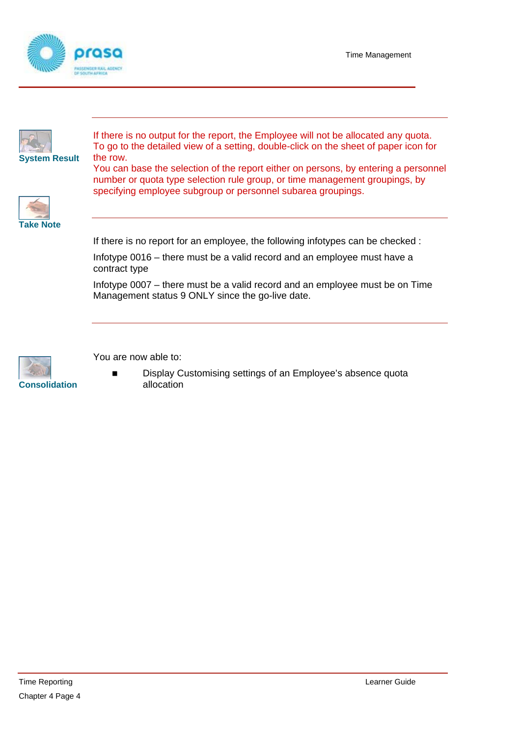Time Management





If there is no output for the report, the Employee will not be allocated any quota. To go to the detailed view of a setting, double-click on the sheet of paper icon for

You can base the selection of the report either on persons, by entering a personnel number or quota type selection rule group, or time management groupings, by specifying employee subgroup or personnel subarea groupings.



If there is no report for an employee, the following infotypes can be checked :

Infotype 0016 – there must be a valid record and an employee must have a contract type

Infotype 0007 – there must be a valid record and an employee must be on Time Management status 9 ONLY since the go-live date.



You are now able to:

 Display Customising settings of an Employee's absence quota **Consolidation** allocation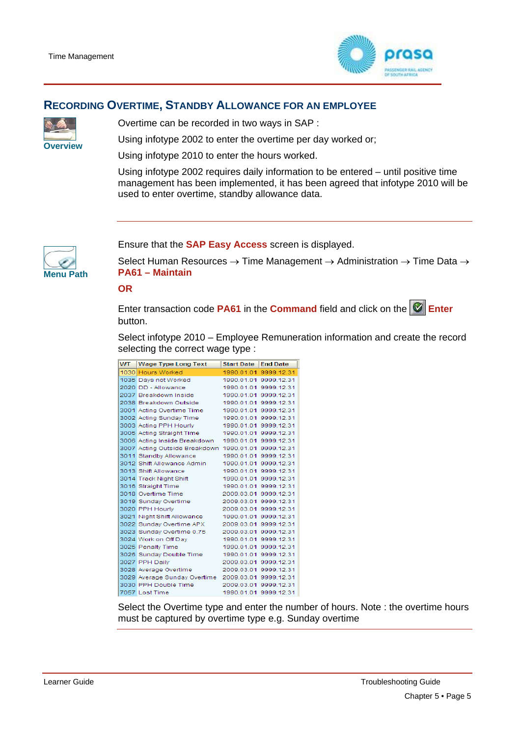

#### **RECORDING OVERTIME, STANDBY ALLOWANCE FOR AN EMPLOYEE**



Overtime can be recorded in two ways in SAP :

Using infotype 2002 to enter the overtime per day worked or;<br>**Overview** 

Using infotype 2010 to enter the hours worked.

Using infotype 2002 requires daily information to be entered – until positive time management has been implemented, it has been agreed that infotype 2010 will be used to enter overtime, standby allowance data.



Ensure that the **SAP Easy Access** screen is displayed.

Select Human Resources  $\rightarrow$  Time Management  $\rightarrow$  Administration  $\rightarrow$  Time Data  $\rightarrow$ **Menu Path PA61 – Maintain**

**OR** 

Enter transaction code **PA61** in the **Command** field and click on the **Enter** button.

Select infotype 2010 – Employee Remuneration information and create the record selecting the correct wage type :

| WT. | <b>Wage Type Long Text</b>                          | <b>Start Date</b>     | <b>End Date</b>       |
|-----|-----------------------------------------------------|-----------------------|-----------------------|
|     | 1030 Hours Worked                                   |                       | 1990.01.01 9999.12.31 |
|     | 1035 Days not Worked                                |                       | 1990.01.01 9999.12.31 |
|     | 2020 DD - Allowance                                 |                       | 1990.01.01 9999.12.31 |
|     | 2037 Breakdown Inside                               |                       | 1990 01 01 9999 12 31 |
|     | 2038 Breakdown Outside                              |                       | 1990 01 01 9999 12 31 |
|     | 3001 Acting Overtime Time                           |                       | 1990.01.01 9999.12.31 |
|     | 3002 Acting Sunday Time                             |                       | 1990.01.01 9999.12.31 |
|     | 3003 Acting PPH Hourly                              |                       | 1990.01.01.9999.12.31 |
|     | 3005 Acting Straight Time                           |                       | 1990 01 01 9999 12 31 |
|     | 3006 Acting Inside Breakdown                        | 1990.01.01 9999.12.31 |                       |
|     | 3007 Acting Outside Breakdown 1990.01.01 9999.12.31 |                       |                       |
|     | 3011 Standby Allowance                              |                       | 1990.01.01 9999.12.31 |
|     | 3012 Shift Allowance Admin                          |                       | 1990.01.01 9999.12.31 |
|     | 3013 Shift Allowance                                |                       | 1990.01.01 9999.12.31 |
|     | 3014 Track Night Shift                              |                       | 1990 01 01 9999 12 31 |
|     | 3016 Straight Time                                  |                       | 1990.01.01 9999.12.31 |
|     | 3018 Overtime Time                                  |                       | 2009.03.01 9999.12.31 |
|     | 3019 Sunday Overtime                                |                       | 2009.03.01 9999.12.31 |
|     | 3020 PPH Hourly                                     |                       | 2009.03.01 9999.12.31 |
|     | 3021 Night Shift Allowance                          |                       | 1990.01.01 9999.12.31 |
|     | 3022 Sunday Overtime APX                            |                       | 2009.03.01 9999.12.31 |
|     | 3023 Sunday Overtime 0.75                           |                       | 2009.03.01 9999.12.31 |
|     | 3024 Work on Off Dav                                |                       | 1990.01.01 9999.12.31 |
|     | 3025 Penalty Time                                   |                       | 1990.01.01 9999.12.31 |
|     | 3026 Sunday Double Time                             |                       | 1990.01.01 9999.12.31 |
|     | 3027 PPH Daily                                      |                       | 2009.03.01 9999.12.31 |
|     | 3028 Average Overtime                               |                       | 2009.03.01 9999.12.31 |
|     | 3029 Average Sunday Overtime 2009.03.01 9999.12.31  |                       |                       |
|     | 3030 PPH Double Time                                |                       | 2009.03.01 9999.12.31 |
|     | 7057 Lost Time                                      |                       | 1990.01.01 9999.12.31 |

Select the Overtime type and enter the number of hours. Note : the overtime hours must be captured by overtime type e.g. Sunday overtime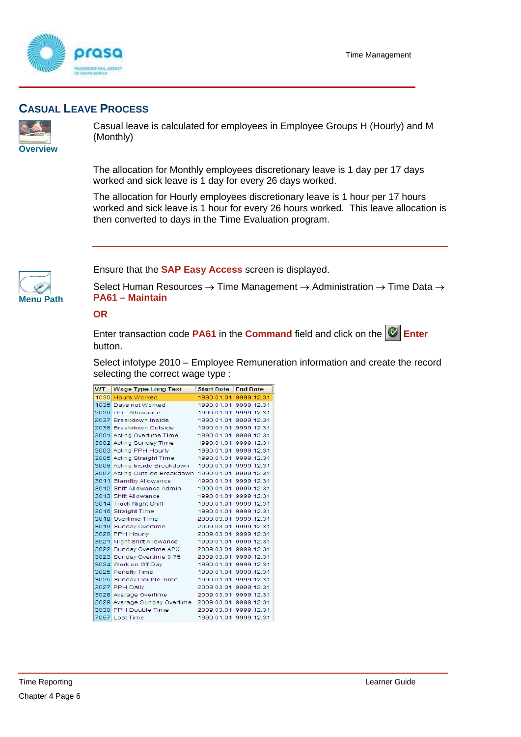



### **CASUAL LEAVE PROCESS**



Casual leave is calculated for employees in Employee Groups H (Hourly) and M (Monthly)

The allocation for Monthly employees discretionary leave is 1 day per 17 days worked and sick leave is 1 day for every 26 days worked.

The allocation for Hourly employees discretionary leave is 1 hour per 17 hours worked and sick leave is 1 hour for every 26 hours worked. This leave allocation is then converted to days in the Time Evaluation program.



Ensure that the **SAP Easy Access** screen is displayed.

Select Human Resources → Time Management → Administration → Time Data → **Menu Path PA61 – Maintain**

#### **OR**

Enter transaction code **PA61** in the **Command** field and click on the **E** Enter button.

Select infotype 2010 – Employee Remuneration information and create the record selecting the correct wage type :

| WT. | <b>Wage Type Long Text</b>                          | <b>Start Date</b>     | <b>End Date</b>       |
|-----|-----------------------------------------------------|-----------------------|-----------------------|
|     | 1030 Hours Worked                                   |                       | 1990.01.01 9999.12.31 |
|     | 1035 Days not Worked                                |                       | 1990.01.01 9999.12.31 |
|     | 2020 DD - Allowance                                 |                       | 1990.01.01 9999.12.31 |
|     | 2037 Breakdown Inside                               |                       | 1990.01.01 9999.12.31 |
|     | 2038 Breakdown Outside                              |                       | 1990.01.01 9999.12.31 |
|     | 3001 Acting Overtime Time                           |                       | 1990.01.01 9999.12.31 |
|     | 3002 Acting Sunday Time                             |                       | 1990.01.01 9999.12.31 |
|     | 3003 Acting PPH Hourly                              |                       | 1990.01.01 9999.12.31 |
|     | 3005 Acting Straight Time                           |                       | 1990.01.01 9999.12.31 |
|     | 3006 Acting Inside Breakdown                        |                       | 1990.01.01 9999.12.31 |
|     | 3007 Acting Outside Breakdown 1990.01.01 9999.12.31 |                       |                       |
|     | 3011 Standby Allowance                              |                       | 1990.01.01 9999.12.31 |
|     | 3012 Shift Allowance Admin                          |                       | 1990.01.01 9999.12.31 |
|     | 3013 Shift Allowance                                |                       | 1990.01.01 9999.12.31 |
|     | 3014 Track Night Shift                              |                       | 1990.01.01 9999.12.31 |
|     | 3016 Straight Time                                  |                       | 1990.01.01 9999.12.31 |
|     | 3018 Overtime Time                                  | 2009.03.01 9999.12.31 |                       |
|     | 3019 Sunday Overtime                                |                       | 2009.03.01 9999.12.31 |
|     | 3020 PPH Hourly                                     |                       | 2009.03.01 9999.12.31 |
|     | 3021 Night Shift Allowance                          |                       | 1990.01.01 9999.12.31 |
|     | 3022 Sunday Overtime APX                            |                       | 2009.03.01 9999.12.31 |
|     | 3023 Sunday Overtime 0.75                           |                       | 2009.03.01 9999.12.31 |
|     | 3024 Work on Off Day                                |                       | 1990.01.01 9999.12.31 |
|     | 3025 Penalty Time                                   |                       | 1990.01.01 9999.12.31 |
|     | 3026 Sunday Double Time                             |                       | 1990.01.01 9999.12.31 |
|     | 3027 PPH Daily                                      |                       | 2009.03.01 9999.12.31 |
|     | 3028 Average Overtime                               |                       | 2009.03.01 9999.12.31 |
|     | 3029 Average Sunday Overtime 2009.03.01 9999.12.31  |                       |                       |
|     | 3030 PPH Double Time                                |                       | 2009.03.01 9999.12.31 |
|     | 7057 Lost Time                                      |                       | 1990.01.01 9999.12.31 |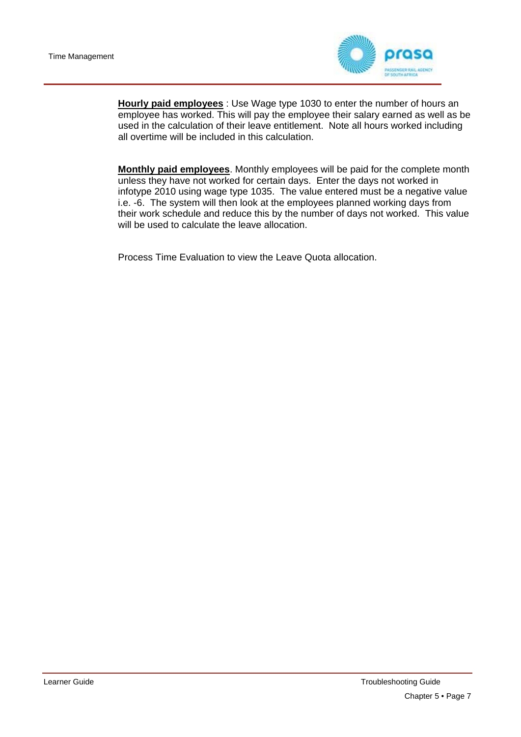

**Hourly paid employees** : Use Wage type 1030 to enter the number of hours an employee has worked. This will pay the employee their salary earned as well as be used in the calculation of their leave entitlement. Note all hours worked including all overtime will be included in this calculation.

**Monthly paid employees**. Monthly employees will be paid for the complete month unless they have not worked for certain days. Enter the days not worked in infotype 2010 using wage type 1035. The value entered must be a negative value i.e. -6. The system will then look at the employees planned working days from their work schedule and reduce this by the number of days not worked. This value will be used to calculate the leave allocation.

Process Time Evaluation to view the Leave Quota allocation.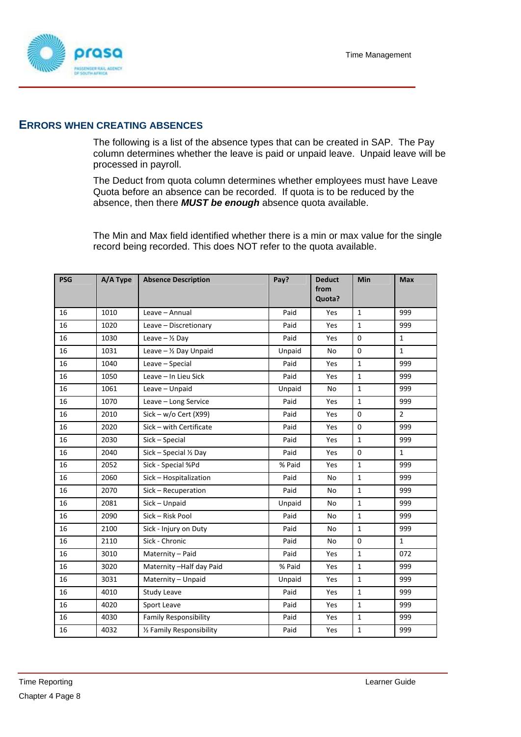

#### **ERRORS WHEN CREATING ABSENCES**

The following is a list of the absence types that can be created in SAP. The Pay column determines whether the leave is paid or unpaid leave. Unpaid leave will be processed in payroll.

The Deduct from quota column determines whether employees must have Leave Quota before an absence can be recorded. If quota is to be reduced by the absence, then there *MUST be enough* absence quota available.

The Min and Max field identified whether there is a min or max value for the single record being recorded. This does NOT refer to the quota available.

| <b>PSG</b> | A/A Type | <b>Absence Description</b>       | Pay?   | <b>Deduct</b><br>from | <b>Min</b>   | <b>Max</b>     |
|------------|----------|----------------------------------|--------|-----------------------|--------------|----------------|
|            |          |                                  |        | Quota?                |              |                |
| 16         | 1010     | Leave - Annual                   | Paid   | Yes                   | $\mathbf{1}$ | 999            |
| 16         | 1020     | Leave - Discretionary            | Paid   | Yes                   | 1            | 999            |
| 16         | 1030     | Leave $ \frac{1}{2}$ Day         | Paid   | Yes                   | 0            | $\mathbf{1}$   |
| 16         | 1031     | Leave $ \frac{1}{2}$ Day Unpaid  | Unpaid | No                    | $\mathbf 0$  | $\mathbf{1}$   |
| 16         | 1040     | Leave - Special                  | Paid   | Yes                   | $\mathbf{1}$ | 999            |
| 16         | 1050     | Leave - In Lieu Sick             | Paid   | Yes                   | 1            | 999            |
| 16         | 1061     | Leave - Unpaid                   | Unpaid | No                    | $\mathbf{1}$ | 999            |
| 16         | 1070     | Leave - Long Service             | Paid   | Yes                   | $\mathbf 1$  | 999            |
| 16         | 2010     | Sick - w/o Cert (X99)            | Paid   | Yes                   | $\Omega$     | $\overline{2}$ |
| 16         | 2020     | Sick - with Certificate          | Paid   | Yes                   | 0            | 999            |
| 16         | 2030     | Sick - Special                   | Paid   | Yes                   | $\mathbf{1}$ | 999            |
| 16         | 2040     | Sick - Special $\frac{1}{2}$ Day | Paid   | Yes                   | $\mathbf 0$  | $\mathbf{1}$   |
| 16         | 2052     | Sick - Special %Pd               | % Paid | Yes                   | $\mathbf{1}$ | 999            |
| 16         | 2060     | Sick - Hospitalization           | Paid   | No                    | $\mathbf{1}$ | 999            |
| 16         | 2070     | Sick - Recuperation              | Paid   | No                    | $\mathbf 1$  | 999            |
| 16         | 2081     | Sick - Unpaid                    | Unpaid | No                    | $\mathbf 1$  | 999            |
| 16         | 2090     | Sick - Risk Pool                 | Paid   | No                    | $\mathbf 1$  | 999            |
| 16         | 2100     | Sick - Injury on Duty            | Paid   | No                    | $\mathbf{1}$ | 999            |
| 16         | 2110     | Sick - Chronic                   | Paid   | No                    | 0            | $\mathbf{1}$   |
| 16         | 3010     | Maternity - Paid                 | Paid   | Yes                   | $\mathbf{1}$ | 072            |
| 16         | 3020     | Maternity-Half day Paid          | % Paid | Yes                   | 1            | 999            |
| 16         | 3031     | Maternity - Unpaid               | Unpaid | Yes                   | $\mathbf{1}$ | 999            |
| 16         | 4010     | Study Leave                      | Paid   | Yes                   | $\mathbf{1}$ | 999            |
| 16         | 4020     | Sport Leave                      | Paid   | Yes                   | 1            | 999            |
| 16         | 4030     | <b>Family Responsibility</b>     | Paid   | Yes                   | 1            | 999            |
| 16         | 4032     | 1/2 Family Responsibility        | Paid   | Yes                   | $\mathbf 1$  | 999            |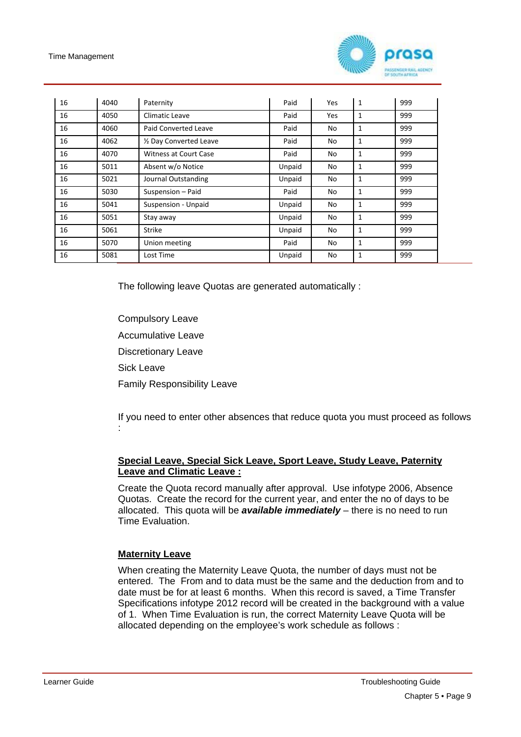

| 16 | 4040 | Paternity               | Paid   | Yes | 1 | 999 |
|----|------|-------------------------|--------|-----|---|-----|
| 16 | 4050 | Climatic Leave          | Paid   | Yes | 1 | 999 |
| 16 | 4060 | Paid Converted Leave    | Paid   | No  | 1 | 999 |
| 16 | 4062 | 1/2 Day Converted Leave | Paid   | No  | 1 | 999 |
| 16 | 4070 | Witness at Court Case   | Paid   | No  | 1 | 999 |
| 16 | 5011 | Absent w/o Notice       | Unpaid | No  | 1 | 999 |
| 16 | 5021 | Journal Outstanding     | Unpaid | No  | 1 | 999 |
| 16 | 5030 | Suspension - Paid       | Paid   | No  | 1 | 999 |
| 16 | 5041 | Suspension - Unpaid     | Unpaid | No  | 1 | 999 |
| 16 | 5051 | Stay away               | Unpaid | No  | 1 | 999 |
| 16 | 5061 | <b>Strike</b>           | Unpaid | No  | 1 | 999 |
| 16 | 5070 | Union meeting           | Paid   | No  | 1 | 999 |
| 16 | 5081 | Lost Time               | Unpaid | No  | 1 | 999 |

The following leave Quotas are generated automatically :

Compulsory Leave Accumulative Leave Discretionary Leave Sick Leave Family Responsibility Leave

If you need to enter other absences that reduce quota you must proceed as follows :

#### **Special Leave, Special Sick Leave, Sport Leave, Study Leave, Paternity Leave and Climatic Leave :**

Create the Quota record manually after approval. Use infotype 2006, Absence Quotas. Create the record for the current year, and enter the no of days to be allocated. This quota will be *available immediately* – there is no need to run Time Evaluation.

#### **Maternity Leave**

When creating the Maternity Leave Quota, the number of days must not be entered. The From and to data must be the same and the deduction from and to date must be for at least 6 months. When this record is saved, a Time Transfer Specifications infotype 2012 record will be created in the background with a value of 1. When Time Evaluation is run, the correct Maternity Leave Quota will be allocated depending on the employee's work schedule as follows :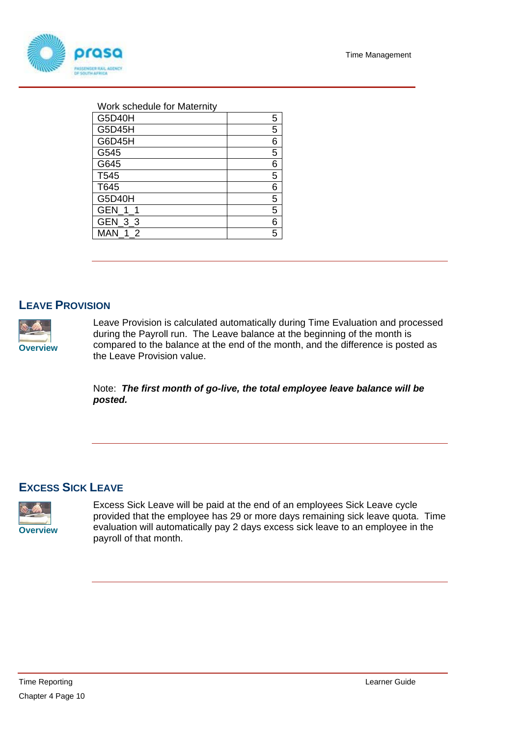

#### Work schedule for Maternity

| <b>G5D40H</b>  | 5 |
|----------------|---|
| G5D45H         | 5 |
| G6D45H         | 6 |
| G545           | 5 |
| G645           | 6 |
| T545           | 5 |
| T645           | 6 |
| G5D40H         | 5 |
| GEN 1          | 5 |
| GEN_3_3        | 6 |
| <b>MAN 1 2</b> | 5 |
|                |   |

#### **LEAVE PROVISION**



Leave Provision is calculated automatically during Time Evaluation and processed during the Payroll run. The Leave balance at the beginning of the month is compared to the balance at the end of the month, and the difference is posted as the Leave Provision value.

Note: *The first month of go-live, the total employee leave balance will be posted.* 

#### **EXCESS SICK LEAVE**



Excess Sick Leave will be paid at the end of an employees Sick Leave cycle provided that the employee has 29 or more days remaining sick leave quota. Time evaluation will automatically pay 2 days excess sick leave to an employee in the payroll of that month.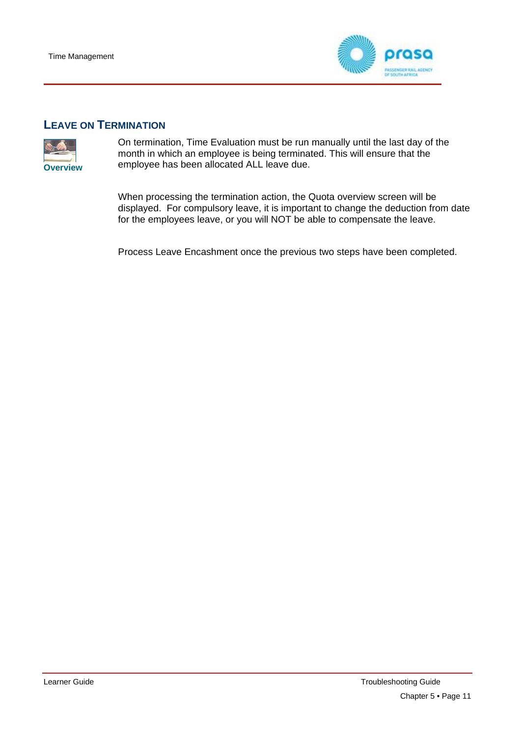

#### **LEAVE ON TERMINATION**



On termination, Time Evaluation must be run manually until the last day of the month in which an employee is being terminated. This will ensure that the **Overview** employee has been allocated ALL leave due.

> When processing the termination action, the Quota overview screen will be displayed. For compulsory leave, it is important to change the deduction from date for the employees leave, or you will NOT be able to compensate the leave.

Process Leave Encashment once the previous two steps have been completed.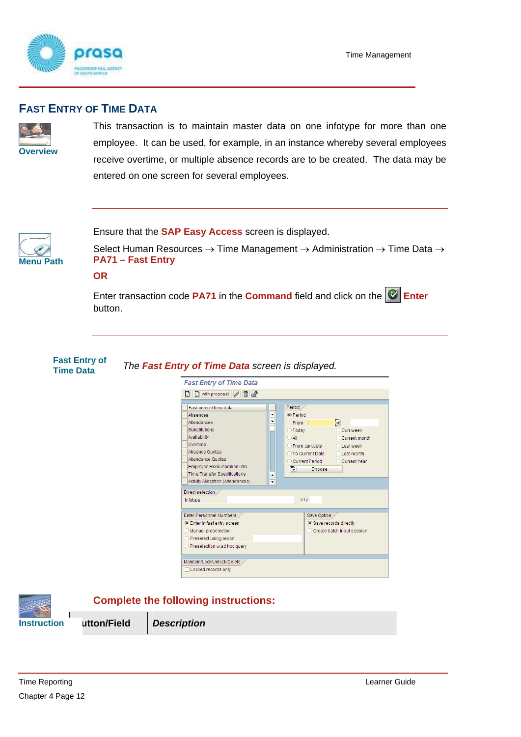

#### **FAST ENTRY OF TIME DATA**



This transaction is to maintain master data on one infotype for more than one employee. It can be used, for example, in an instance whereby several employees receive overtime, or multiple absence records are to be created. The data may be entered on one screen for several employees.



Ensure that the **SAP Easy Access** screen is displayed.

Select Human Resources  $\rightarrow$  Time Management  $\rightarrow$  Administration  $\rightarrow$  Time Data  $\rightarrow$ **Menu Path PA71 – Fast Entry**

**OR** 

Enter transaction code PA71 in the **Command** field and click on the **Enter** button.

## **Fast Entry of** *The Fast Entry of Time Data screen is displayed.* **Time Data**



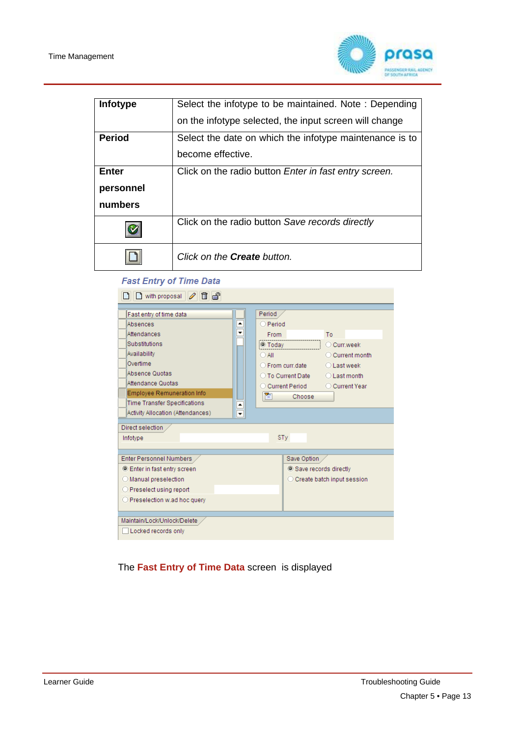

| Infotype      | Select the infotype to be maintained. Note: Depending         |
|---------------|---------------------------------------------------------------|
|               | on the infotype selected, the input screen will change        |
| <b>Period</b> | Select the date on which the infotype maintenance is to       |
|               | become effective.                                             |
| Enter         | Click on the radio button <i>Enter in fast entry screen</i> . |
| personnel     |                                                               |
| numbers       |                                                               |
|               | Click on the radio button Save records directly               |
|               | Click on the Create button.                                   |

#### **Fast Entry of Time Data**

| $\Box$ with proposal $\mathscr{D}$ $\Box$ $\Box$<br>$\mathsf{L}$                                                                                                                                                                                                                       |                                                                                                                                                                                                                                                |
|----------------------------------------------------------------------------------------------------------------------------------------------------------------------------------------------------------------------------------------------------------------------------------------|------------------------------------------------------------------------------------------------------------------------------------------------------------------------------------------------------------------------------------------------|
| Fast entry of time data<br>۸<br>Absences<br>۳<br>Attendances<br>Substitutions<br>Availability<br>Overtime<br>Absence Quotas<br>Attendance Quotas<br><b>Employee Remuneration Info</b><br><b>Time Transfer Specifications</b><br>$\triangleq$<br>Activity Allocation (Attendances)<br>ନ | Period<br>O Period<br><b>From</b><br>To<br>O Today<br>C Curr.week<br>$\bigcirc$ All<br>○ Current month<br>○ From curr date<br>$\bigcirc$ Last week<br>◯ To Current Date<br>$O$ Last month<br>C Current Period<br>◯ Current Year<br>面<br>Choose |
| Direct selection                                                                                                                                                                                                                                                                       |                                                                                                                                                                                                                                                |
| Infotype                                                                                                                                                                                                                                                                               | <b>STy</b>                                                                                                                                                                                                                                     |
| Enter Personnel Numbers<br><b>Enter in fast entry screen</b><br>O Manual preselection<br>O Preselect using report<br>O Preselection w.ad hoc query                                                                                                                                     | Save Option<br>Save records directly<br>◯ Create batch input session                                                                                                                                                                           |
| Maintain/Lock/Unlock/Delete<br>Locked records only                                                                                                                                                                                                                                     |                                                                                                                                                                                                                                                |

The **Fast Entry of Time Data** screen is displayed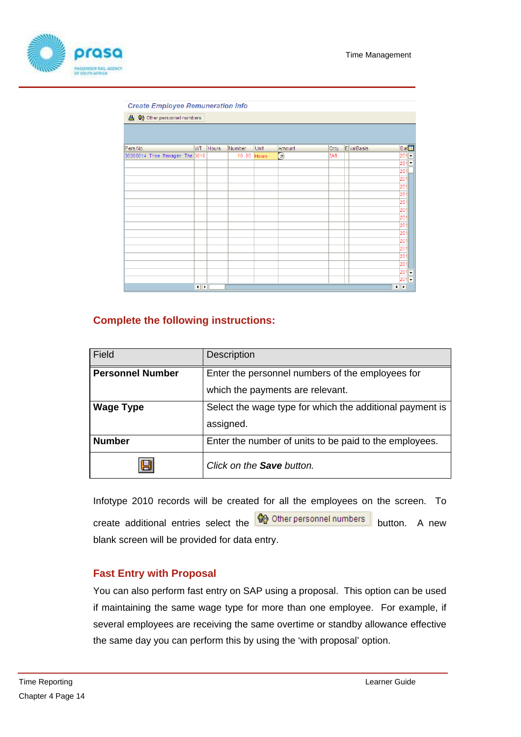

| <b>Create Employee Remuneration Info</b> |                          |              |        |              |             |      |                      |                   |                               |
|------------------------------------------|--------------------------|--------------|--------|--------------|-------------|------|----------------------|-------------------|-------------------------------|
| <b>合 命</b> Other personnel numbers       |                          |              |        |              |             |      |                      |                   |                               |
|                                          |                          |              |        |              |             |      |                      |                   |                               |
|                                          |                          |              |        |              |             |      |                      |                   |                               |
| Pers.No.                                 | WT                       | <b>Hours</b> | Number | Unit         | Amount      | Crcy | E ValBasis           | Dat <sup>11</sup> |                               |
| 30000014 Time Manager The 3018           |                          |              | 10.00  | <b>Hours</b> | $\bigoplus$ | ZAR  |                      | 201               | $\blacktriangle$              |
|                                          |                          |              |        |              |             |      |                      | 20                | $\overline{\phantom{0}}$      |
|                                          |                          |              |        |              |             |      |                      | 201               |                               |
|                                          |                          |              |        |              |             |      |                      | 201               |                               |
|                                          |                          |              |        |              |             |      |                      | 201               |                               |
|                                          |                          |              |        |              |             |      |                      | 201               |                               |
|                                          |                          |              |        |              |             |      |                      | 201               |                               |
|                                          |                          |              |        |              |             |      |                      | 201               |                               |
|                                          |                          |              |        |              |             |      |                      | 201               |                               |
|                                          |                          |              |        |              |             |      |                      | 201               |                               |
|                                          |                          |              |        |              |             |      |                      | 201               |                               |
|                                          |                          |              |        |              |             |      |                      | 201               |                               |
|                                          |                          |              |        |              |             |      |                      | 201               |                               |
|                                          |                          |              |        |              |             |      |                      | 201               |                               |
|                                          |                          |              |        |              |             |      |                      | 201               |                               |
|                                          |                          |              |        |              |             |      |                      | 201               |                               |
|                                          |                          |              |        |              |             |      |                      | 201               | E<br>$\overline{\phantom{a}}$ |
|                                          | $\left\  \cdot \right\ $ |              |        |              |             |      | $\blacktriangleleft$ | ٠                 |                               |
|                                          |                          |              |        |              |             |      |                      |                   |                               |

#### **Complete the following instructions:**

| Field                   | <b>Description</b>                                       |
|-------------------------|----------------------------------------------------------|
| <b>Personnel Number</b> | Enter the personnel numbers of the employees for         |
|                         | which the payments are relevant.                         |
| <b>Wage Type</b>        | Select the wage type for which the additional payment is |
|                         | assigned.                                                |
| <b>Number</b>           | Enter the number of units to be paid to the employees.   |
| 9                       | Click on the <b>Save</b> button.                         |

Infotype 2010 records will be created for all the employees on the screen. To create additional entries select the  $\frac{49}{40}$  Other personnel numbers button. A new blank screen will be provided for data entry.

#### **Fast Entry with Proposal**

You can also perform fast entry on SAP using a proposal. This option can be used if maintaining the same wage type for more than one employee. For example, if several employees are receiving the same overtime or standby allowance effective the same day you can perform this by using the 'with proposal' option.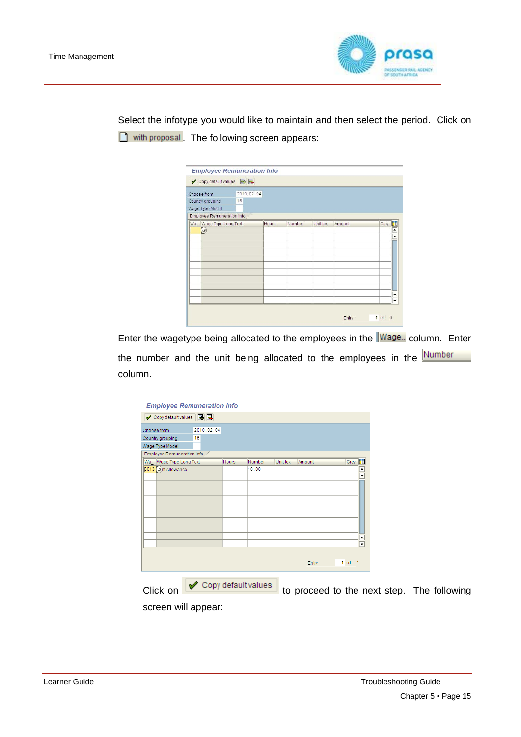

Select the infotype you would like to maintain and then select the period. Click on with proposal. The following screen appears:

| Choose from                | 2010.02.04 |        |          |        |      |    |
|----------------------------|------------|--------|----------|--------|------|----|
| 16<br>Country grouping     |            |        |          |        |      |    |
| Wage Type Model            |            |        |          |        |      |    |
| Employee Remuneration Info |            |        |          |        |      |    |
| Wa Wage Type Long Text     | Hours      | Number | Unit tex | Amount | Crcy | Tľ |
| $\left( \mathbf{r}\right)$ |            |        |          |        |      | ٠  |
|                            |            |        |          |        |      | ۰  |
|                            |            |        |          |        |      |    |
|                            |            |        |          |        |      |    |
|                            |            |        |          |        |      |    |
|                            |            |        |          |        |      |    |
|                            |            |        |          |        |      |    |
|                            |            |        |          |        |      |    |
|                            |            |        |          |        |      | ٠  |
|                            |            |        |          |        |      | ٠  |

Enter the wagetype being allocated to the employees in the Wage... column. Enter the number and the unit being allocated to the employees in the Number column.

| <b>Employee Remuneration Info</b>             |                     |              |        |                 |        |            |                  |                                            |
|-----------------------------------------------|---------------------|--------------|--------|-----------------|--------|------------|------------------|--------------------------------------------|
| ✔ Copy default values BB                      |                     |              |        |                 |        |            |                  |                                            |
| Choose from                                   | 2010.02.04          |              |        |                 |        |            |                  |                                            |
| Country grouping                              | 16                  |              |        |                 |        |            |                  |                                            |
| Wage Type Model<br>Employee Remuneration Info |                     |              |        |                 |        |            |                  |                                            |
| Wa Wage Type Long Text                        |                     | <b>Hours</b> | Number | <b>Unit tex</b> | Amount | Crcy       | Œ                |                                            |
| 3013 of ift Allowance                         |                     |              | 10.00  |                 |        |            | $\blacktriangle$ |                                            |
|                                               |                     |              |        |                 |        |            | ٠                |                                            |
|                                               |                     |              |        |                 |        |            |                  |                                            |
|                                               |                     |              |        |                 |        |            |                  |                                            |
|                                               |                     |              |        |                 |        |            |                  |                                            |
|                                               |                     |              |        |                 |        |            |                  |                                            |
|                                               |                     |              |        |                 |        |            |                  |                                            |
|                                               |                     |              |        |                 |        |            | ٠                |                                            |
|                                               |                     |              |        |                 |        |            | ٠                |                                            |
|                                               |                     |              |        |                 | Entry  | $1$ of $1$ |                  |                                            |
| Click on                                      | Copy default values |              |        |                 |        |            |                  | to proceed to the next step. The following |

screen will appear: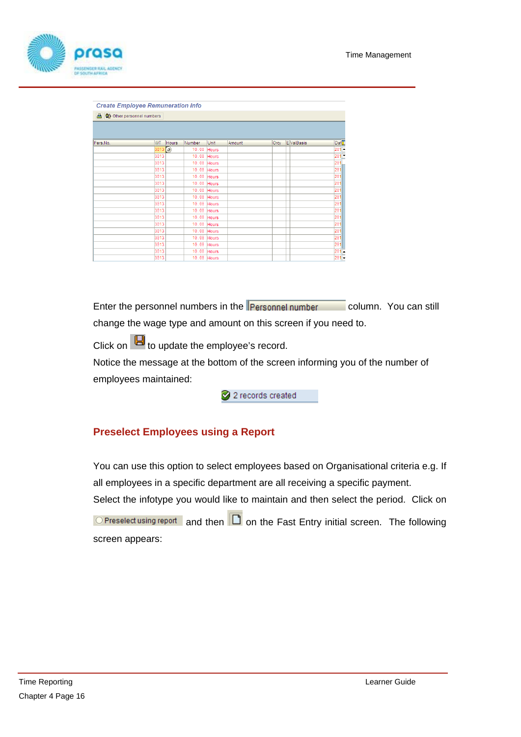

| <b>Create Employee Remuneration Info</b> |        |       |             |              |        |      |            |                   |
|------------------------------------------|--------|-------|-------------|--------------|--------|------|------------|-------------------|
| 合 命 Other personnel numbers              |        |       |             |              |        |      |            |                   |
|                                          |        |       |             |              |        |      |            |                   |
|                                          |        |       |             |              |        |      |            |                   |
| Pers.No.                                 | WT     | Hours | Number      | <b>Unit</b>  | Amount | Crcy | E ValBasis | Dat <sup>T</sup>  |
|                                          | 3013 3 |       | 10.00       | Hours        |        |      |            | $20^{\circ}$<br>E |
|                                          | 3013   |       | 10.00       | Hours        |        |      |            | 20                |
|                                          | 3013   |       | 10.00       | Hours        |        |      |            | 20                |
|                                          | 3013   |       | 10.00       | Hours        |        |      |            | 201               |
|                                          | 3013   |       | 10.00       | Hours        |        |      |            | 201               |
|                                          | 3013   |       | 10.00       | <b>Hours</b> |        |      |            | 201               |
|                                          | 3013   |       | 10.00       | Hours        |        |      |            | 201               |
|                                          | 3013   |       | 10.00       | Hours        |        |      |            | 201               |
|                                          | 3013   |       | 10.00       | Hours        |        |      |            | 201               |
|                                          | 3013   |       | 10.00       | Hours        |        |      |            | 201               |
|                                          | 3013   |       | 10.00       | Hours        |        |      |            | 201               |
|                                          | 3013   |       | 10.00       | Hours        |        |      |            | 201               |
|                                          | 3013   |       | 10.00       | Hours        |        |      |            | 201               |
|                                          | 3013   |       | 10.00       | Hours        |        |      |            | 201               |
|                                          | 3013   |       | 10.00       | <b>Hours</b> |        |      |            | 201               |
|                                          | 3013   |       | 10.00       | Hours        |        |      |            | $\frac{201}{201}$ |
|                                          | 3013   |       | 10.00 Hours |              |        |      |            |                   |

Enter the personnel numbers in the **Personnel number** column. You can still change the wage type and amount on this screen if you need to.

Click on  $\Box$  to update the employee's record.

Notice the message at the bottom of the screen informing you of the number of employees maintained:

2 2 records created

### **Preselect Employees using a Report**

You can use this option to select employees based on Organisational criteria e.g. If all employees in a specific department are all receiving a specific payment. Select the infotype you would like to maintain and then select the period. Click on

 $\overline{O}$  Preselect using report and then  $\overline{O}$  on the Fast Entry initial screen. The following screen appears: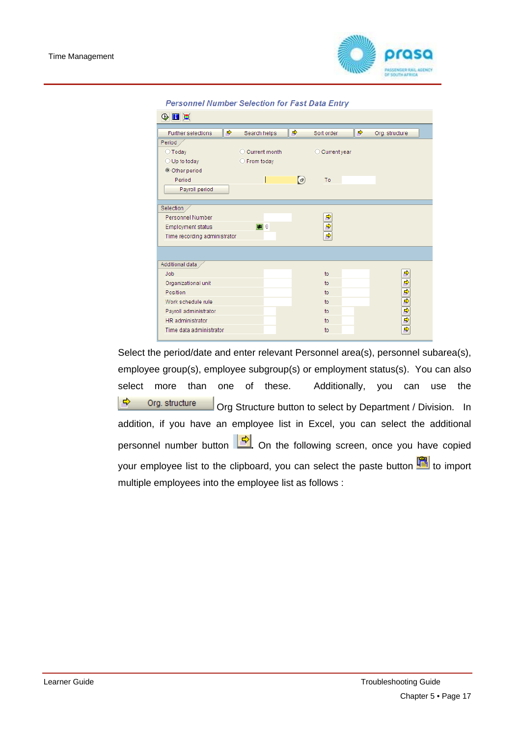

| <b>Personnel Number Selection for Fast Data Entry</b> |  |  |  |
|-------------------------------------------------------|--|--|--|
|                                                       |  |  |  |

| $\circledcirc$ $\blacksquare$ |   |                 |            |                |   |                       |
|-------------------------------|---|-----------------|------------|----------------|---|-----------------------|
| <b>Further selections</b>     | ♦ | Search helps    | ♦          | Sort order     | ➾ | Org. structure        |
| Period                        |   |                 |            |                |   |                       |
| $\bigcirc$ Today              |   | C Current month |            | C Current year |   |                       |
| $\bigcirc$ Up to today        |   | ◯ From today    |            |                |   |                       |
| © Other period                |   |                 |            |                |   |                       |
| Period                        |   |                 | $\bigcirc$ | To             |   |                       |
| Payroll period                |   |                 |            |                |   |                       |
|                               |   |                 |            |                |   |                       |
| Selection                     |   |                 |            |                |   |                       |
| Personnel Number              |   |                 |            | ф              |   |                       |
| <b>Employment status</b>      |   | $\Box$ 0        |            | ф              |   |                       |
| Time recording administrator  |   |                 |            | ф              |   |                       |
|                               |   |                 |            |                |   |                       |
|                               |   |                 |            |                |   |                       |
| Additional data               |   |                 |            |                |   |                       |
| Job                           |   |                 |            | to             |   |                       |
| Organizational unit           |   |                 |            | to             |   |                       |
| Position                      |   |                 |            | to             |   |                       |
| Work schedule rule            |   |                 |            | to             |   |                       |
| Payroll administrator         |   |                 |            | to             |   | <u> 수 수 수 수 수 수 수</u> |
| HR administrator              |   |                 |            | to             |   |                       |
| Time data administrator       |   |                 |            | to             |   |                       |
|                               |   |                 |            |                |   |                       |

Select the period/date and enter relevant Personnel area(s), personnel subarea(s), employee group(s), employee subgroup(s) or employment status(s). You can also select more than one of these. Additionally, you can use the  $\Rightarrow$ Org. structure Org Structure button to select by Department / Division. In addition, if you have an employee list in Excel, you can select the additional personnel number button **.** On the following screen, once you have copied your employee list to the clipboard, you can select the paste button **面** to import multiple employees into the employee list as follows :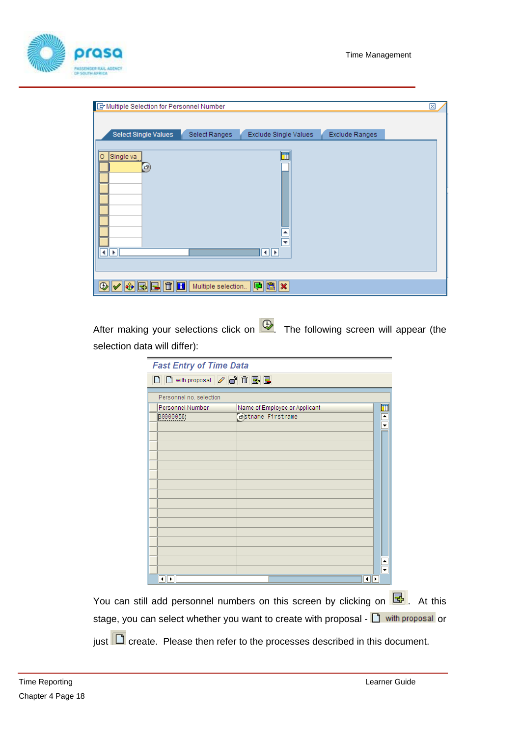

| E Multiple Selection for Personnel Number                |                    |                                                   |                | × |
|----------------------------------------------------------|--------------------|---------------------------------------------------|----------------|---|
| Select Single Values                                     | Select Ranges      | Exclude Single Values                             | Exclude Ranges |   |
| o<br>Single va<br>$\left( \mathbf{F}\right)$<br>∢<br>զ∲ի |                    | le.<br>$\overline{\phantom{a}}$<br>$\blacksquare$ |                |   |
| <b>BB00</b><br>⊕<br>$ \hat{\mathbf{v}} $                 | Multiple selection | $  \mathbf{P}  \mathbf{E}  \mathbf{x}$            |                |   |

After making your selections click on  $\bigoplus$ . The following screen will appear (the selection data will differ):

| <b>Fast Entry of Time Data</b>  |                                         |   |
|---------------------------------|-----------------------------------------|---|
| <b>DD</b> with proposal 2 6 日 国 |                                         |   |
| Personnel no. selection         |                                         |   |
| Personnel Number                | Name of Employee or Applicant           |   |
| 30000056                        | <b><i><u>destname</u></i></b> Firstname |   |
|                                 |                                         | ٠ |
|                                 |                                         | ٠ |
| $\blacksquare$                  | ◂⊪                                      |   |
|                                 |                                         |   |

You can still add personnel numbers on this screen by clicking on  $\mathbb{E}$ . At this stage, you can select whether you want to create with proposal - **D** with proposal or

just  $\Box$  create. Please then refer to the processes described in this document.